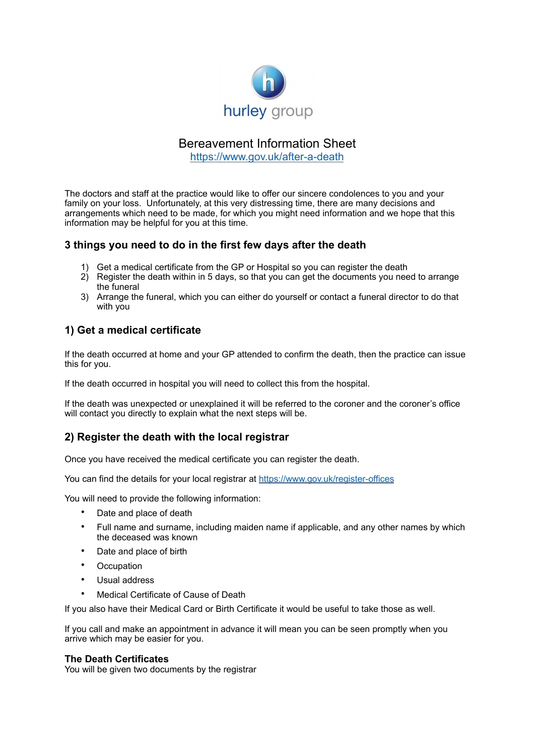

# Bereavement Information Sheet

<https://www.gov.uk/after-a-death>

The doctors and staff at the practice would like to offer our sincere condolences to you and your family on your loss. Unfortunately, at this very distressing time, there are many decisions and arrangements which need to be made, for which you might need information and we hope that this information may be helpful for you at this time.

## **3 things you need to do in the first few days after the death**

- 1) Get a medical certificate from the GP or Hospital so you can register the death
- 2) Register the death within in 5 days, so that you can get the documents you need to arrange the funeral
- 3) Arrange the funeral, which you can either do yourself or contact a funeral director to do that with you

## **1) Get a medical certificate**

If the death occurred at home and your GP attended to confirm the death, then the practice can issue this for you.

If the death occurred in hospital you will need to collect this from the hospital.

If the death was unexpected or unexplained it will be referred to the coroner and the coroner's office will contact you directly to explain what the next steps will be.

## **2) Register the death with the local registrar**

Once you have received the medical certificate you can register the death.

You can find the details for your local registrar at<https://www.gov.uk/register-offices>

You will need to provide the following information:

- Date and place of death
- Full name and surname, including maiden name if applicable, and any other names by which the deceased was known
- Date and place of birth
- **Occupation**
- Usual address
- Medical Certificate of Cause of Death

If you also have their Medical Card or Birth Certificate it would be useful to take those as well.

If you call and make an appointment in advance it will mean you can be seen promptly when you arrive which may be easier for you.

#### **The Death Certificates**

You will be given two documents by the registrar